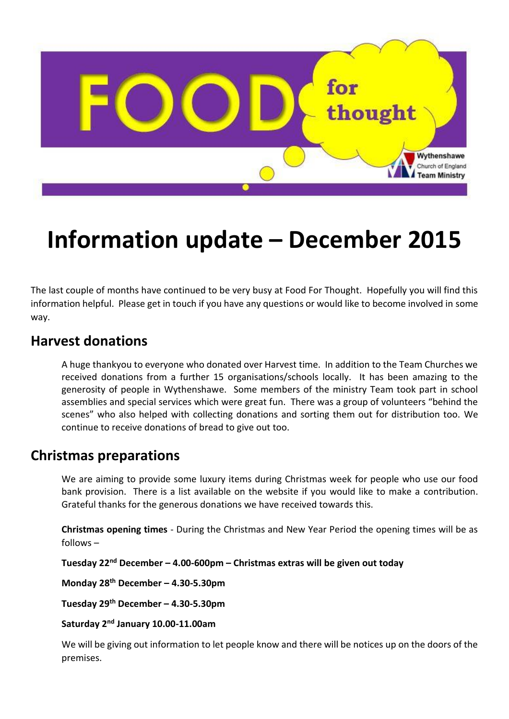

# **Information update – December 2015**

The last couple of months have continued to be very busy at Food For Thought. Hopefully you will find this information helpful. Please get in touch if you have any questions or would like to become involved in some way.

### **Harvest donations**

A huge thankyou to everyone who donated over Harvest time. In addition to the Team Churches we received donations from a further 15 organisations/schools locally. It has been amazing to the generosity of people in Wythenshawe. Some members of the ministry Team took part in school assemblies and special services which were great fun. There was a group of volunteers "behind the scenes" who also helped with collecting donations and sorting them out for distribution too. We continue to receive donations of bread to give out too.

#### **Christmas preparations**

We are aiming to provide some luxury items during Christmas week for people who use our food bank provision. There is a list available on the website if you would like to make a contribution. Grateful thanks for the generous donations we have received towards this.

**Christmas opening times** - During the Christmas and New Year Period the opening times will be as follows –

**Tuesday 22nd December – 4.00-600pm – Christmas extras will be given out today**

**Monday 28th December – 4.30-5.30pm**

**Tuesday 29th December – 4.30-5.30pm**

**Saturday 2nd January 10.00-11.00am** 

We will be giving out information to let people know and there will be notices up on the doors of the premises.